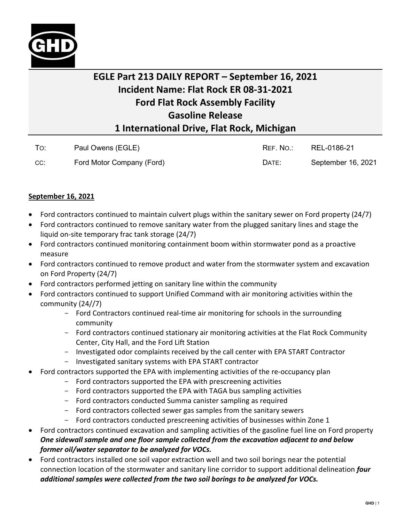

## **EGLE Part 213 DAILY REPORT – September 16, 2021 Incident Name: Flat Rock ER 08-31-2021 Ford Flat Rock Assembly Facility Gasoline Release 1 International Drive, Flat Rock, Michigan**

| To: | Paul Owens (EGLE)         | REF. NO.: | REL-0186-21        |
|-----|---------------------------|-----------|--------------------|
| CC: | Ford Motor Company (Ford) | DATE:     | September 16, 2021 |

## **September 16, 2021**

- Ford contractors continued to maintain culvert plugs within the sanitary sewer on Ford property (24/7)
- Ford contractors continued to remove sanitary water from the plugged sanitary lines and stage the liquid on-site temporary frac tank storage (24/7)
- Ford contractors continued monitoring containment boom within stormwater pond as a proactive measure
- Ford contractors continued to remove product and water from the stormwater system and excavation on Ford Property (24/7)
- Ford contractors performed jetting on sanitary line within the community
- Ford contractors continued to support Unified Command with air monitoring activities within the community (24//7)
	- Ford Contractors continued real-time air monitoring for schools in the surrounding community
	- Ford contractors continued stationary air monitoring activities at the Flat Rock Community Center, City Hall, and the Ford Lift Station
	- Investigated odor complaints received by the call center with EPA START Contractor
	- Investigated sanitary systems with EPA START contractor
- Ford contractors supported the EPA with implementing activities of the re-occupancy plan
	- Ford contractors supported the EPA with prescreening activities
	- Ford contractors supported the EPA with TAGA bus sampling activities
	- Ford contractors conducted Summa canister sampling as required
	- Ford contractors collected sewer gas samples from the sanitary sewers
	- Ford contractors conducted prescreening activities of businesses within Zone 1
- Ford contractors continued excavation and sampling activities of the gasoline fuel line on Ford property *One sidewall sample and one floor sample collected from the excavation adjacent to and below former oil/water separator to be analyzed for VOCs.*
- Ford contractors installed one soil vapor extraction well and two soil borings near the potential connection location of the stormwater and sanitary line corridor to support additional delineation *four additional samples were collected from the two soil borings to be analyzed for VOCs.*